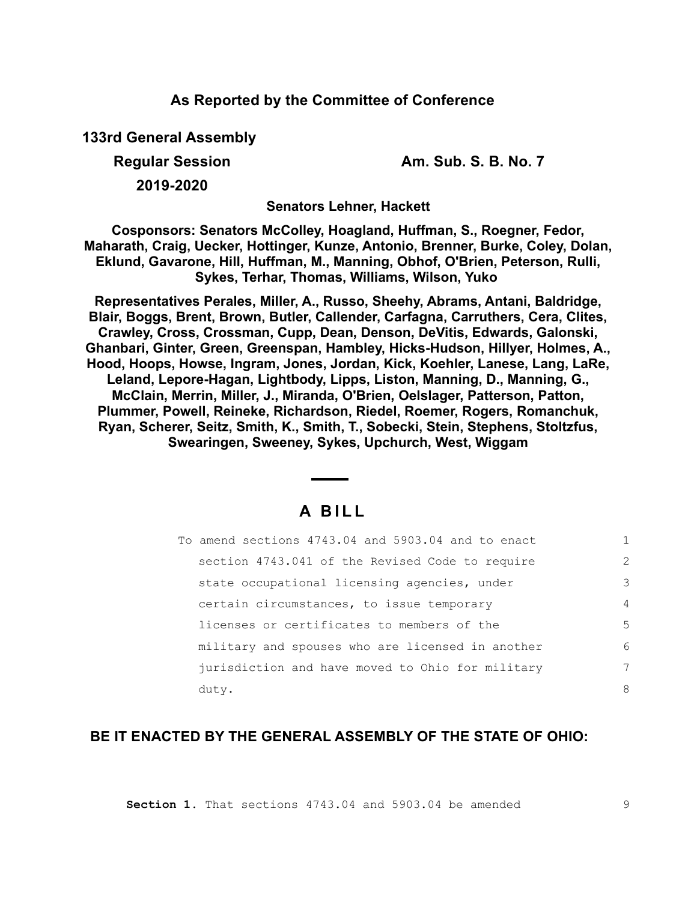### **As Reported by the Committee of Conference**

**133rd General Assembly**

**Regular Session Am. Sub. S. B. No. 7** 

**2019-2020**

**Senators Lehner, Hackett**

**Cosponsors: Senators McColley, Hoagland, Huffman, S., Roegner, Fedor, Maharath, Craig, Uecker, Hottinger, Kunze, Antonio, Brenner, Burke, Coley, Dolan, Eklund, Gavarone, Hill, Huffman, M., Manning, Obhof, O'Brien, Peterson, Rulli, Sykes, Terhar, Thomas, Williams, Wilson, Yuko** 

**Representatives Perales, Miller, A., Russo, Sheehy, Abrams, Antani, Baldridge, Blair, Boggs, Brent, Brown, Butler, Callender, Carfagna, Carruthers, Cera, Clites, Crawley, Cross, Crossman, Cupp, Dean, Denson, DeVitis, Edwards, Galonski, Ghanbari, Ginter, Green, Greenspan, Hambley, Hicks-Hudson, Hillyer, Holmes, A., Hood, Hoops, Howse, Ingram, Jones, Jordan, Kick, Koehler, Lanese, Lang, LaRe, Leland, Lepore-Hagan, Lightbody, Lipps, Liston, Manning, D., Manning, G., McClain, Merrin, Miller, J., Miranda, O'Brien, Oelslager, Patterson, Patton, Plummer, Powell, Reineke, Richardson, Riedel, Roemer, Rogers, Romanchuk, Ryan, Scherer, Seitz, Smith, K., Smith, T., Sobecki, Stein, Stephens, Stoltzfus, Swearingen, Sweeney, Sykes, Upchurch, West, Wiggam**

# **A B I L L**

|       | To amend sections 4743.04 and 5903.04 and to enact |               |
|-------|----------------------------------------------------|---------------|
|       | section 4743.041 of the Revised Code to require    | $\mathcal{L}$ |
|       | state occupational licensing agencies, under       | 3             |
|       | certain circumstances, to issue temporary          | 4             |
|       | licenses or certificates to members of the         | 5             |
|       | military and spouses who are licensed in another   | 6             |
|       | jurisdiction and have moved to Ohio for military   | 7             |
| duty. |                                                    | 8             |

## **BE IT ENACTED BY THE GENERAL ASSEMBLY OF THE STATE OF OHIO:**

**Section 1.** That sections 4743.04 and 5903.04 be amended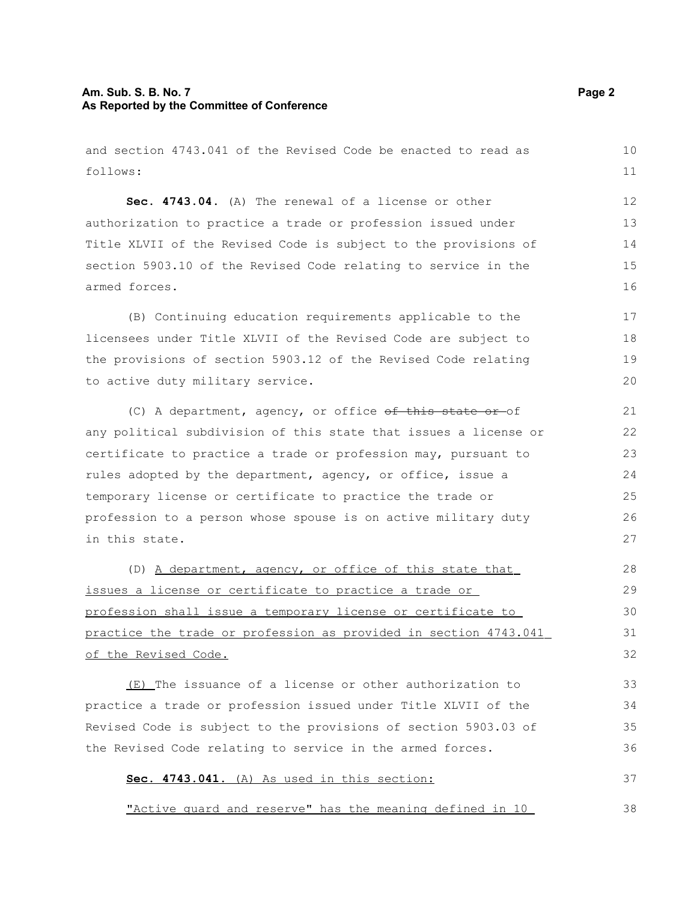#### **Am. Sub. S. B. No. 7 Page 2 As Reported by the Committee of Conference**

and section 4743.041 of the Revised Code be enacted to read as follows: **Sec. 4743.04.** (A) The renewal of a license or other authorization to practice a trade or profession issued under Title XLVII of the Revised Code is subject to the provisions of section 5903.10 of the Revised Code relating to service in the armed forces. (B) Continuing education requirements applicable to the licensees under Title XLVII of the Revised Code are subject to the provisions of section 5903.12 of the Revised Code relating to active duty military service. (C) A department, agency, or office  $ef$  this state or of any political subdivision of this state that issues a license or certificate to practice a trade or profession may, pursuant to rules adopted by the department, agency, or office, issue a 10 11 12 13 14 15 16 17 18 19 20 21 22 23 24

temporary license or certificate to practice the trade or profession to a person whose spouse is on active military duty in this state. 25 26 27 28

(D) A department, agency, or office of this state that issues a license or certificate to practice a trade or profession shall issue a temporary license or certificate to practice the trade or profession as provided in section 4743.041 of the Revised Code.

(E) The issuance of a license or other authorization to practice a trade or profession issued under Title XLVII of the Revised Code is subject to the provisions of section 5903.03 of the Revised Code relating to service in the armed forces.

**Sec. 4743.041.** (A) As used in this section:

"Active guard and reserve" has the meaning defined in 10

37

38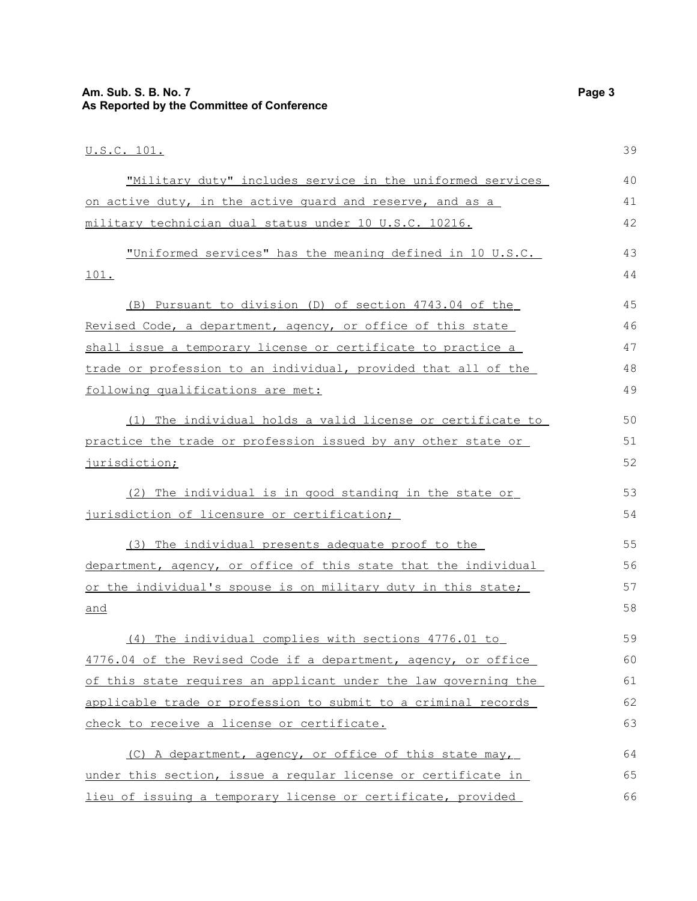### **Am. Sub. S. B. No. 7 Page 3 As Reported by the Committee of Conference**

| <u>U.S.C. 101.</u>                                              | 39 |
|-----------------------------------------------------------------|----|
| "Military duty" includes service in the uniformed services      | 40 |
| on active duty, in the active quard and reserve, and as a       | 41 |
| military technician dual status under 10 U.S.C. 10216.          | 42 |
| "Uniformed services" has the meaning defined in 10 U.S.C.       | 43 |
| 101.                                                            | 44 |
| (B) Pursuant to division (D) of section 4743.04 of the          | 45 |
| Revised Code, a department, agency, or office of this state     | 46 |
| shall issue a temporary license or certificate to practice a    | 47 |
| trade or profession to an individual, provided that all of the  | 48 |
| following qualifications are met:                               | 49 |
| (1) The individual holds a valid license or certificate to      | 50 |
| practice the trade or profession issued by any other state or   | 51 |
| jurisdiction;                                                   | 52 |
| (2) The individual is in good standing in the state or          | 53 |
| jurisdiction of licensure or certification;                     | 54 |
| (3) The individual presents adequate proof to the               | 55 |
| department, agency, or office of this state that the individual | 56 |
| or the individual's spouse is on military duty in this state;   | 57 |
| and                                                             | 58 |
| (4) The individual complies with sections 4776.01 to            | 59 |
| 4776.04 of the Revised Code if a department, agency, or office  | 60 |
| of this state requires an applicant under the law governing the | 61 |
| applicable trade or profession to submit to a criminal records  | 62 |
| check to receive a license or certificate.                      | 63 |
| (C) A department, agency, or office of this state may,          | 64 |
| under this section, issue a reqular license or certificate in   | 65 |
| lieu of issuing a temporary license or certificate, provided    | 66 |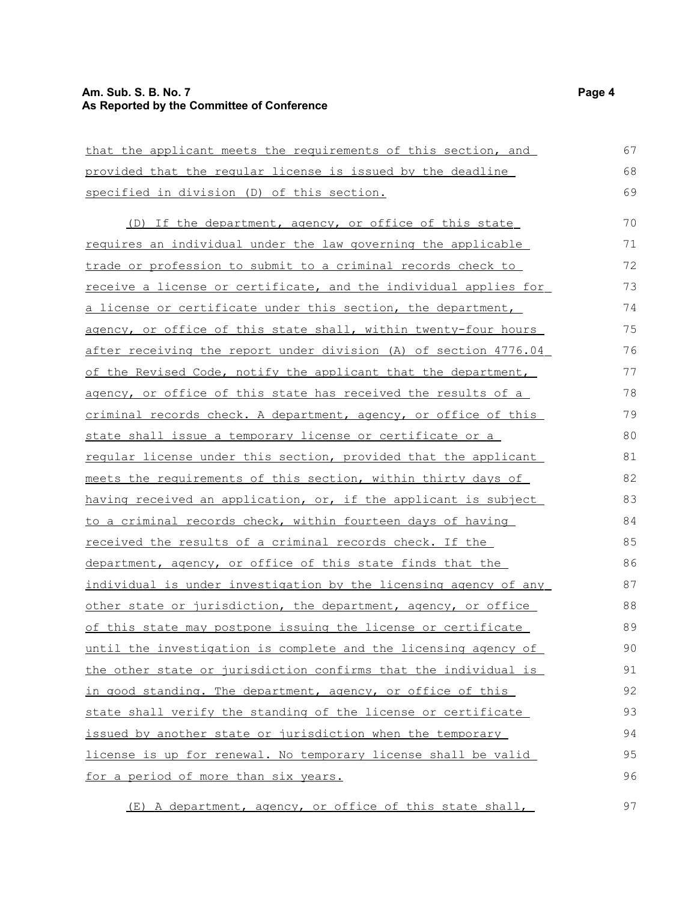#### **Am. Sub. S. B. No. 7 Page 4 As Reported by the Committee of Conference**

| that the applicant meets the requirements of this section, and      | 67 |
|---------------------------------------------------------------------|----|
| provided that the regular license is issued by the deadline         | 68 |
| specified in division (D) of this section.                          | 69 |
| (D) If the department, agency, or office of this state              | 70 |
| requires an individual under the law governing the applicable       | 71 |
| trade or profession to submit to a criminal records check to        | 72 |
| receive a license or certificate, and the individual applies for    | 73 |
| <u>a license or certificate under this section, the department,</u> | 74 |
| agency, or office of this state shall, within twenty-four hours     | 75 |
| after receiving the report under division (A) of section 4776.04    | 76 |
| of the Revised Code, notify the applicant that the department,      | 77 |
| agency, or office of this state has received the results of a       | 78 |
| criminal records check. A department, agency, or office of this     | 79 |
| state shall issue a temporary license or certificate or a           | 80 |
| regular license under this section, provided that the applicant     | 81 |
| meets the requirements of this section, within thirty days of       | 82 |
| having received an application, or, if the applicant is subject     | 83 |
| to a criminal records check, within fourteen days of having         | 84 |
| <u>received the results of a criminal records check. If the</u>     | 85 |
| department, agency, or office of this state finds that the          | 86 |
| individual is under investigation by the licensing agency of any    | 87 |
| other state or jurisdiction, the department, agency, or office      | 88 |
| of this state may postpone issuing the license or certificate       | 89 |
| until the investigation is complete and the licensing agency of     | 90 |
| the other state or jurisdiction confirms that the individual is     | 91 |
| in good standing. The department, agency, or office of this         | 92 |
| state shall verify the standing of the license or certificate       | 93 |
| issued by another state or jurisdiction when the temporary          | 94 |
| license is up for renewal. No temporary license shall be valid      | 95 |
| for a period of more than six years.                                | 96 |

(E) A department, agency, or office of this state shall,

97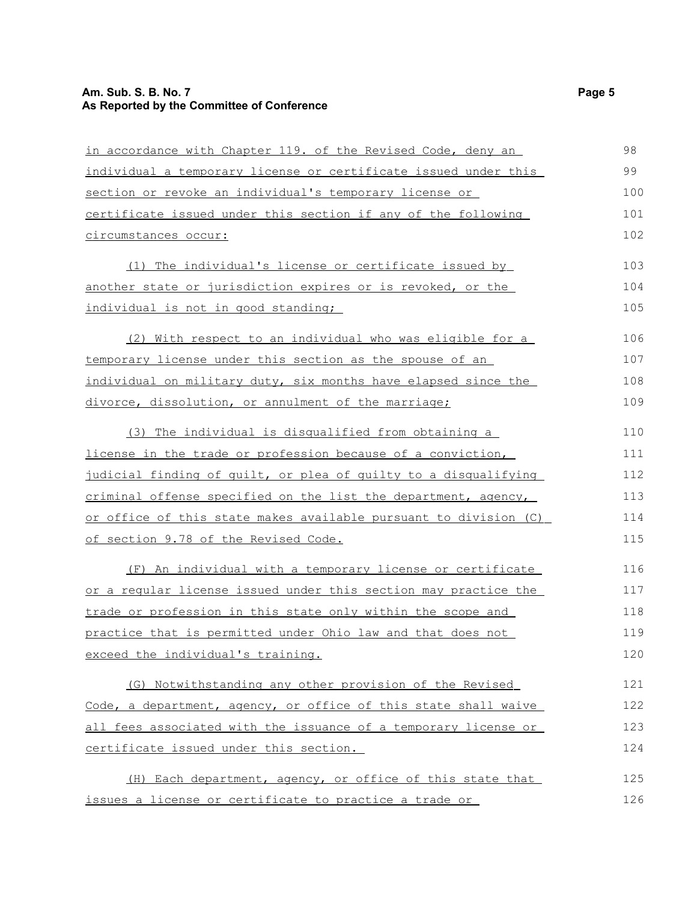#### **Am. Sub. S. B. No. 7 Page 5 As Reported by the Committee of Conference**

| in accordance with Chapter 119. of the Revised Code, deny an     | 98  |
|------------------------------------------------------------------|-----|
|                                                                  |     |
| individual a temporary license or certificate issued under this  | 99  |
| section or revoke an individual's temporary license or           | 100 |
| certificate issued under this section if any of the following    | 101 |
| circumstances occur:                                             | 102 |
| (1) The individual's license or certificate issued by            | 103 |
| another state or jurisdiction expires or is revoked, or the      | 104 |
| individual is not in good standing;                              | 105 |
| (2) With respect to an individual who was eligible for a         | 106 |
| temporary license under this section as the spouse of an         | 107 |
| individual on military duty, six months have elapsed since the   | 108 |
| divorce, dissolution, or annulment of the marriage;              | 109 |
| (3) The individual is disqualified from obtaining a              | 110 |
| license in the trade or profession because of a conviction,      | 111 |
| judicial finding of quilt, or plea of quilty to a disqualifying  | 112 |
| criminal offense specified on the list the department, agency,   | 113 |
| or office of this state makes available pursuant to division (C) | 114 |
| of section 9.78 of the Revised Code.                             | 115 |
| (F) An individual with a temporary license or certificate        | 116 |
| or a regular license issued under this section may practice the  | 117 |
| trade or profession in this state only within the scope and      | 118 |
| practice that is permitted under Ohio law and that does not      | 119 |
| exceed the individual's training.                                | 120 |
| (G) Notwithstanding any other provision of the Revised           | 121 |
| Code, a department, agency, or office of this state shall waive  | 122 |
| all fees associated with the issuance of a temporary license or  | 123 |
| certificate issued under this section.                           | 124 |
| (H) Each department, agency, or office of this state that        | 125 |
| issues a license or certificate to practice a trade or           | 126 |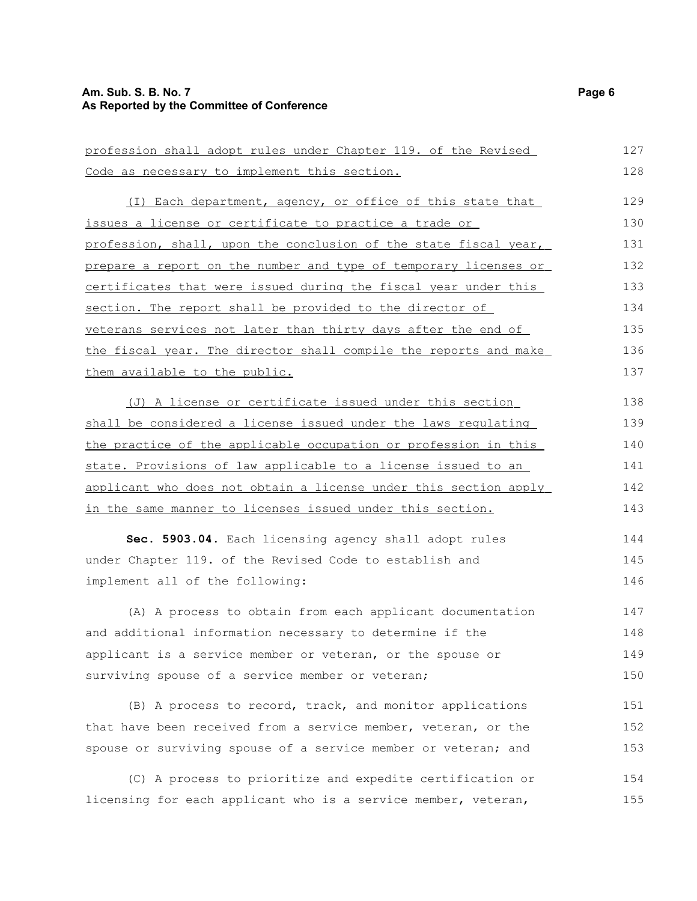#### **Am. Sub. S. B. No. 7 Page 6 As Reported by the Committee of Conference**

| profession shall adopt rules under Chapter 119. of the Revised   |     |  |
|------------------------------------------------------------------|-----|--|
| Code as necessary to implement this section.                     | 128 |  |
| (I) Each department, agency, or office of this state that        | 129 |  |
| issues a license or certificate to practice a trade or           | 130 |  |
| profession, shall, upon the conclusion of the state fiscal year, | 131 |  |
| prepare a report on the number and type of temporary licenses or | 132 |  |
| certificates that were issued during the fiscal year under this  | 133 |  |
| section. The report shall be provided to the director of         | 134 |  |
| veterans services not later than thirty days after the end of    | 135 |  |
| the fiscal year. The director shall compile the reports and make | 136 |  |
| them available to the public.                                    | 137 |  |
| (J) A license or certificate issued under this section           | 138 |  |
| shall be considered a license issued under the laws regulating   | 139 |  |
| the practice of the applicable occupation or profession in this  | 140 |  |
| state. Provisions of law applicable to a license issued to an    | 141 |  |
| applicant who does not obtain a license under this section apply | 142 |  |
| in the same manner to licenses issued under this section.        | 143 |  |
| Sec. 5903.04. Each licensing agency shall adopt rules            | 144 |  |
| under Chapter 119. of the Revised Code to establish and          | 145 |  |
| implement all of the following:                                  | 146 |  |
| (A) A process to obtain from each applicant documentation        | 147 |  |
| and additional information necessary to determine if the         | 148 |  |
| applicant is a service member or veteran, or the spouse or       | 149 |  |
| surviving spouse of a service member or veteran;                 | 150 |  |
| (B) A process to record, track, and monitor applications         | 151 |  |
| that have been received from a service member, veteran, or the   | 152 |  |
| spouse or surviving spouse of a service member or veteran; and   | 153 |  |
| (C) A process to prioritize and expedite certification or        | 154 |  |
| licensing for each applicant who is a service member, veteran,   | 155 |  |